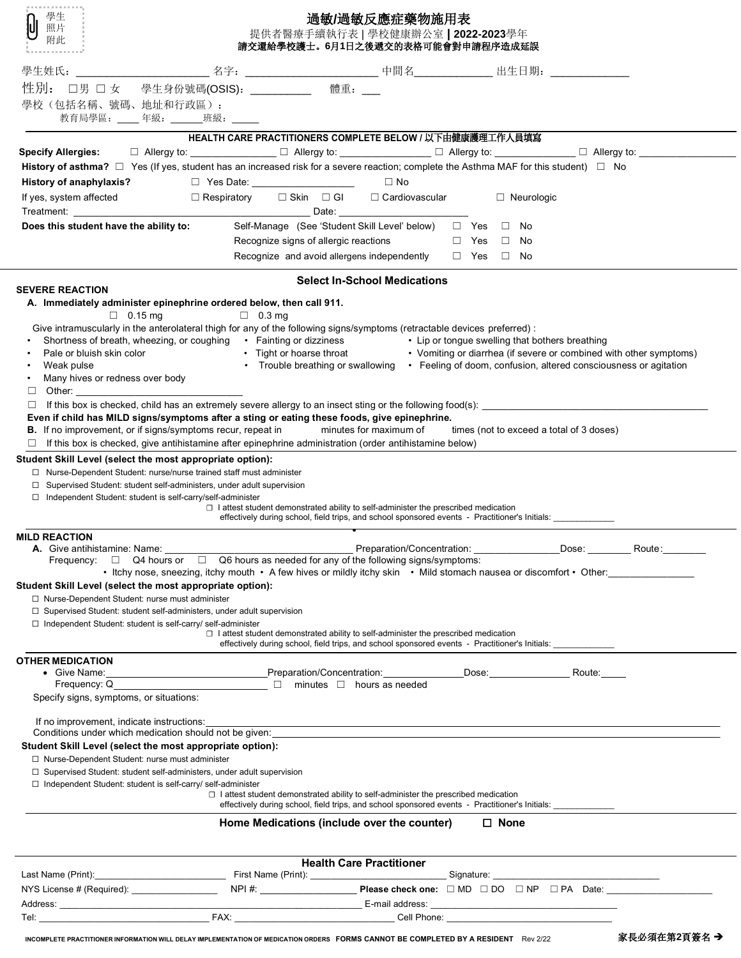| .<br>學生<br>照片<br>附此                                                                                                                                                                                                                                                                                                                                                                                                                    |                                       | 過敏/過敏反應症藥物施用表<br>提供者醫療手續執行表   學校健康辦公室   2022-2023學年<br>請交還給學校護士。6月1日之後遞交的表格可能會對申請程序造成延誤                                                                                                     |                      |                                                                    |        |  |
|----------------------------------------------------------------------------------------------------------------------------------------------------------------------------------------------------------------------------------------------------------------------------------------------------------------------------------------------------------------------------------------------------------------------------------------|---------------------------------------|---------------------------------------------------------------------------------------------------------------------------------------------------------------------------------------------|----------------------|--------------------------------------------------------------------|--------|--|
| 學生姓氏:                                                                                                                                                                                                                                                                                                                                                                                                                                  |                                       |                                                                                                                                                                                             |                      |                                                                    |        |  |
| 性別:<br>□男 □女<br>學校(包括名稱、號碼、地址和行政區):<br>教育局學區: ____年級: ______班級: _____                                                                                                                                                                                                                                                                                                                                                                  | 學生身份號碼(OSIS): ___________             | 體重: __                                                                                                                                                                                      |                      |                                                                    |        |  |
|                                                                                                                                                                                                                                                                                                                                                                                                                                        |                                       | HEALTH CARE PRACTITIONERS COMPLETE BELOW / 以下由健康護理工作人員填寫                                                                                                                                    |                      |                                                                    |        |  |
| Specify Allergies: □ Allergy to: _____________ □ Allergy to: ____________ □ Allergy to: __________ □ Allergy to: __________                                                                                                                                                                                                                                                                                                            |                                       |                                                                                                                                                                                             |                      |                                                                    |        |  |
| History of asthma? $\Box$ Yes (If yes, student has an increased risk for a severe reaction; complete the Asthma MAF for this student) $\Box$ No                                                                                                                                                                                                                                                                                        |                                       |                                                                                                                                                                                             |                      |                                                                    |        |  |
| History of anaphylaxis?                                                                                                                                                                                                                                                                                                                                                                                                                | □ Yes Date: ____________________      | $\square$ No                                                                                                                                                                                |                      |                                                                    |        |  |
| If yes, system affected                                                                                                                                                                                                                                                                                                                                                                                                                |                                       | □ Respiratory   □ Skin  □ Gl    □ Cardiovascular                                                                                                                                            |                      | □ Neurologic                                                       |        |  |
| Does this student have the ability to:                                                                                                                                                                                                                                                                                                                                                                                                 |                                       | Self-Manage (See 'Student Skill Level' below) □ Yes □ No                                                                                                                                    |                      |                                                                    |        |  |
|                                                                                                                                                                                                                                                                                                                                                                                                                                        | Recognize signs of allergic reactions |                                                                                                                                                                                             | $\Box$ Yes $\Box$ No |                                                                    |        |  |
|                                                                                                                                                                                                                                                                                                                                                                                                                                        |                                       | Recognize and avoid allergens independently                                                                                                                                                 | $\Box$ Yes $\Box$ No |                                                                    |        |  |
|                                                                                                                                                                                                                                                                                                                                                                                                                                        |                                       |                                                                                                                                                                                             |                      |                                                                    |        |  |
| <b>SEVERE REACTION</b>                                                                                                                                                                                                                                                                                                                                                                                                                 |                                       | <b>Select In-School Medications</b>                                                                                                                                                         |                      |                                                                    |        |  |
| A. Immediately administer epinephrine ordered below, then call 911.                                                                                                                                                                                                                                                                                                                                                                    |                                       |                                                                                                                                                                                             |                      |                                                                    |        |  |
| $\Box$ 0.15 mg<br>Give intramuscularly in the anterolateral thigh for any of the following signs/symptoms (retractable devices preferred) :<br>Shortness of breath, wheezing, or coughing<br>Fainting or dizziness<br>Fight or hoarse throat<br>Fight or hoarse throat<br>Fight or hoarse throat<br>Fight or hoarse throat<br>Fight or hoarse throat<br>Fight or hoarse throat<br>Fig<br>Weak pulse<br>Many hives or redness over body | $\Box$ 0.3 mg                         | • Trouble breathing or swallowing • Feeling of doom, confusion, altered consciousness or agitation                                                                                          |                      | • Vomiting or diarrhea (if severe or combined with other symptoms) |        |  |
| Other:<br>□                                                                                                                                                                                                                                                                                                                                                                                                                            |                                       |                                                                                                                                                                                             |                      |                                                                    |        |  |
| If this box is checked, child has an extremely severe allergy to an insect sting or the following food(s):<br>□                                                                                                                                                                                                                                                                                                                        |                                       |                                                                                                                                                                                             |                      |                                                                    |        |  |
| Even if child has MILD signs/symptoms after a sting or eating these foods, give epinephrine.<br><b>B.</b> If no improvement, or if signs/symptoms recur, repeat in                                                                                                                                                                                                                                                                     |                                       | minutes for maximum of                                                                                                                                                                      |                      | times (not to exceed a total of 3 doses)                           |        |  |
| $\Box$ If this box is checked, give antihistamine after epinephrine administration (order antihistamine below)                                                                                                                                                                                                                                                                                                                         |                                       |                                                                                                                                                                                             |                      |                                                                    |        |  |
| Student Skill Level (select the most appropriate option):                                                                                                                                                                                                                                                                                                                                                                              |                                       |                                                                                                                                                                                             |                      |                                                                    |        |  |
| □ Nurse-Dependent Student: nurse/nurse trained staff must administer                                                                                                                                                                                                                                                                                                                                                                   |                                       |                                                                                                                                                                                             |                      |                                                                    |        |  |
| □ Supervised Student: student self-administers, under adult supervision<br>□ Independent Student: student is self-carry/self-administer                                                                                                                                                                                                                                                                                                |                                       |                                                                                                                                                                                             |                      |                                                                    |        |  |
|                                                                                                                                                                                                                                                                                                                                                                                                                                        |                                       | $\Box$ I attest student demonstrated ability to self-administer the prescribed medication<br>effectively during school, field trips, and school sponsored events - Practitioner's Initials: |                      |                                                                    |        |  |
| <b>MILD REACTION</b>                                                                                                                                                                                                                                                                                                                                                                                                                   |                                       |                                                                                                                                                                                             |                      |                                                                    |        |  |
| <b>A.</b> Give antihistamine: Name:<br>Frequency: $\Box$ Q4 hours or $\Box$ Q6 hours as needed for any of the following signs/symptoms:                                                                                                                                                                                                                                                                                                |                                       | Preparation/Concentration:                                                                                                                                                                  |                      | Dose:                                                              | Route: |  |
|                                                                                                                                                                                                                                                                                                                                                                                                                                        |                                       | • Itchy nose, sneezing, itchy mouth • A few hives or mildly itchy skin • Mild stomach nausea or discomfort • Other:                                                                         |                      |                                                                    |        |  |
| Student Skill Level (select the most appropriate option):                                                                                                                                                                                                                                                                                                                                                                              |                                       |                                                                                                                                                                                             |                      |                                                                    |        |  |
| □ Nurse-Dependent Student: nurse must administer<br>$\Box$ Supervised Student: student self-administers, under adult supervision                                                                                                                                                                                                                                                                                                       |                                       |                                                                                                                                                                                             |                      |                                                                    |        |  |
| $\Box$ Independent Student: student is self-carry/ self-administer                                                                                                                                                                                                                                                                                                                                                                     |                                       |                                                                                                                                                                                             |                      |                                                                    |        |  |
|                                                                                                                                                                                                                                                                                                                                                                                                                                        |                                       | $\Box$ I attest student demonstrated ability to self-administer the prescribed medication<br>effectively during school, field trips, and school sponsored events - Practitioner's Initials: |                      |                                                                    |        |  |
| <b>OTHER MEDICATION</b>                                                                                                                                                                                                                                                                                                                                                                                                                |                                       |                                                                                                                                                                                             |                      |                                                                    |        |  |
| • Give Name: Route: Research Monday Preparation/Concentration: Concentration: Dose: Route: Route:                                                                                                                                                                                                                                                                                                                                      |                                       |                                                                                                                                                                                             |                      |                                                                    |        |  |
| Frequency: Q__________________________________ □ minutes □ hours as needed<br>Specify signs, symptoms, or situations:                                                                                                                                                                                                                                                                                                                  |                                       |                                                                                                                                                                                             |                      |                                                                    |        |  |
|                                                                                                                                                                                                                                                                                                                                                                                                                                        |                                       |                                                                                                                                                                                             |                      |                                                                    |        |  |
| If no improvement, indicate instructions:<br>Conditions under which medication should not be given: _________________________                                                                                                                                                                                                                                                                                                          |                                       |                                                                                                                                                                                             |                      |                                                                    |        |  |
| Student Skill Level (select the most appropriate option):                                                                                                                                                                                                                                                                                                                                                                              |                                       |                                                                                                                                                                                             |                      |                                                                    |        |  |
| □ Nurse-Dependent Student: nurse must administer                                                                                                                                                                                                                                                                                                                                                                                       |                                       |                                                                                                                                                                                             |                      |                                                                    |        |  |
| $\Box$ Supervised Student: student self-administers, under adult supervision<br>□ Independent Student: student is self-carry/ self-administer                                                                                                                                                                                                                                                                                          |                                       |                                                                                                                                                                                             |                      |                                                                    |        |  |
|                                                                                                                                                                                                                                                                                                                                                                                                                                        |                                       | $\Box$ I attest student demonstrated ability to self-administer the prescribed medication                                                                                                   |                      |                                                                    |        |  |
|                                                                                                                                                                                                                                                                                                                                                                                                                                        |                                       | effectively during school, field trips, and school sponsored events - Practitioner's Initials: ________                                                                                     | $\Box$ None          |                                                                    |        |  |
| Home Medications (include over the counter)                                                                                                                                                                                                                                                                                                                                                                                            |                                       |                                                                                                                                                                                             |                      |                                                                    |        |  |
|                                                                                                                                                                                                                                                                                                                                                                                                                                        |                                       | <b>Health Care Practitioner</b>                                                                                                                                                             |                      |                                                                    |        |  |
|                                                                                                                                                                                                                                                                                                                                                                                                                                        |                                       |                                                                                                                                                                                             |                      |                                                                    |        |  |
| NYS License # (Required): ___________________                                                                                                                                                                                                                                                                                                                                                                                          |                                       |                                                                                                                                                                                             |                      |                                                                    |        |  |
|                                                                                                                                                                                                                                                                                                                                                                                                                                        |                                       |                                                                                                                                                                                             |                      |                                                                    |        |  |
|                                                                                                                                                                                                                                                                                                                                                                                                                                        |                                       |                                                                                                                                                                                             |                      |                                                                    |        |  |